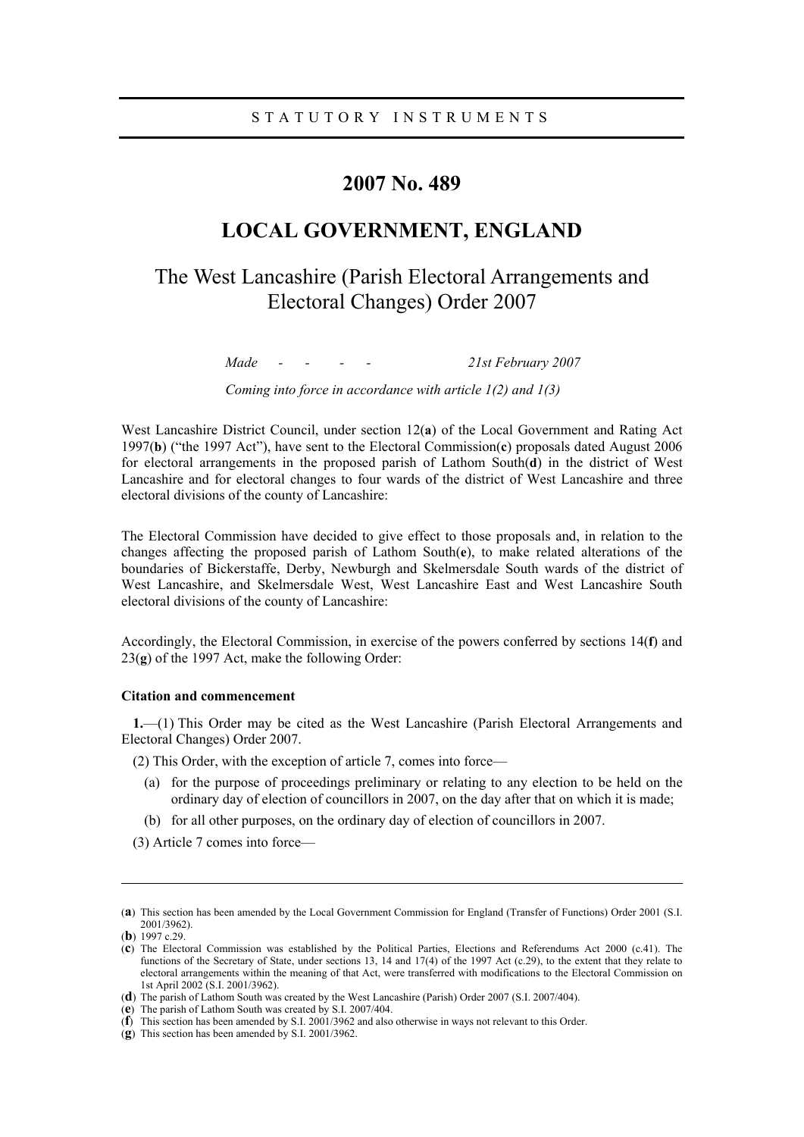# **2007 No. 489**

# **LOCAL GOVERNMENT, ENGLAND**

# The West Lancashire (Parish Electoral Arrangements and Electoral Changes) Order 2007

*Made - - - - 21st February 2007* 

*Coming into force in accordance with article 1(2) and 1(3)* 

West Lancashire District Council, under section 12(**a**) of the Local Government and Rating Act 1997(**b**) ("the 1997 Act"), have sent to the Electoral Commission(**c**) proposals dated August 2006 for electoral arrangements in the proposed parish of Lathom South(**d**) in the district of West Lancashire and for electoral changes to four wards of the district of West Lancashire and three electoral divisions of the county of Lancashire:

The Electoral Commission have decided to give effect to those proposals and, in relation to the changes affecting the proposed parish of Lathom South(**e**), to make related alterations of the boundaries of Bickerstaffe, Derby, Newburgh and Skelmersdale South wards of the district of West Lancashire, and Skelmersdale West, West Lancashire East and West Lancashire South electoral divisions of the county of Lancashire:

Accordingly, the Electoral Commission, in exercise of the powers conferred by sections 14(**f**) and 23(**g**) of the 1997 Act, make the following Order:

#### **Citation and commencement**

**1.**—(1) This Order may be cited as the West Lancashire (Parish Electoral Arrangements and Electoral Changes) Order 2007.

(2) This Order, with the exception of article 7, comes into force—

- (a) for the purpose of proceedings preliminary or relating to any election to be held on the ordinary day of election of councillors in 2007, on the day after that on which it is made;
- (b) for all other purposes, on the ordinary day of election of councillors in 2007.
- (3) Article 7 comes into force—

 $\overline{a}$ 

<sup>(</sup>**a**) This section has been amended by the Local Government Commission for England (Transfer of Functions) Order 2001 (S.I. 2001/3962).

<sup>(</sup>**b**) 1997 c.29.

<sup>(</sup>**c**) The Electoral Commission was established by the Political Parties, Elections and Referendums Act 2000 (c.41). The functions of the Secretary of State, under sections 13, 14 and 17(4) of the 1997 Act (c.29), to the extent that they relate to electoral arrangements within the meaning of that Act, were transferred with modifications to the Electoral Commission on 1st April 2002 (S.I. 2001/3962).

<sup>(</sup>**d**) The parish of Lathom South was created by the West Lancashire (Parish) Order 2007 (S.I. 2007/404).

<sup>(</sup>**e**) The parish of Lathom South was created by S.I. 2007/404.

<sup>(</sup>**f**) This section has been amended by S.I. 2001/3962 and also otherwise in ways not relevant to this Order.

<sup>(</sup>**g**) This section has been amended by S.I. 2001/3962.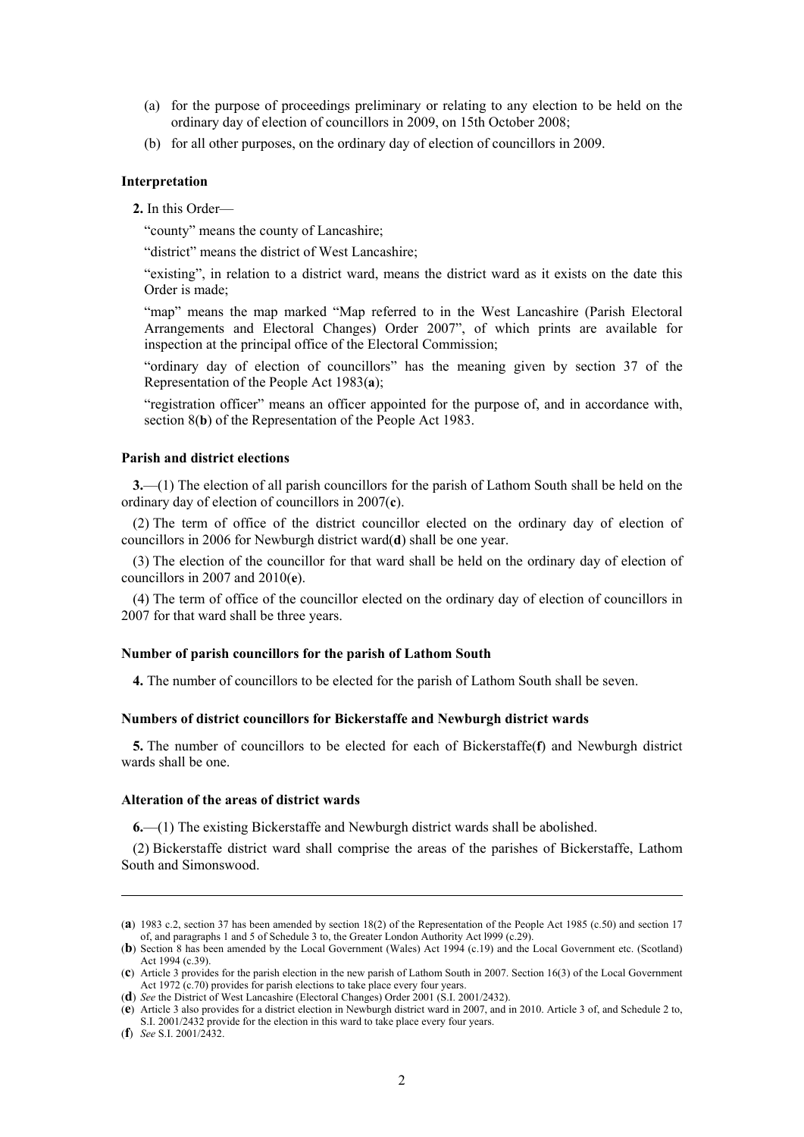- (a) for the purpose of proceedings preliminary or relating to any election to be held on the ordinary day of election of councillors in 2009, on 15th October 2008;
- (b) for all other purposes, on the ordinary day of election of councillors in 2009.

#### **Interpretation**

**2.** In this Order—

"county" means the county of Lancashire;

"district" means the district of West Lancashire;

"existing", in relation to a district ward, means the district ward as it exists on the date this Order is made;

"map" means the map marked "Map referred to in the West Lancashire (Parish Electoral Arrangements and Electoral Changes) Order 2007", of which prints are available for inspection at the principal office of the Electoral Commission;

"ordinary day of election of councillors" has the meaning given by section 37 of the Representation of the People Act 1983(**a**);

"registration officer" means an officer appointed for the purpose of, and in accordance with, section 8(**b**) of the Representation of the People Act 1983.

#### **Parish and district elections**

**3.**—(1) The election of all parish councillors for the parish of Lathom South shall be held on the ordinary day of election of councillors in 2007(**c**).

(2) The term of office of the district councillor elected on the ordinary day of election of councillors in 2006 for Newburgh district ward(**d**) shall be one year.

(3) The election of the councillor for that ward shall be held on the ordinary day of election of councillors in 2007 and 2010(**e**).

(4) The term of office of the councillor elected on the ordinary day of election of councillors in 2007 for that ward shall be three years.

## **Number of parish councillors for the parish of Lathom South**

**4.** The number of councillors to be elected for the parish of Lathom South shall be seven.

#### **Numbers of district councillors for Bickerstaffe and Newburgh district wards**

**5.** The number of councillors to be elected for each of Bickerstaffe(**f**) and Newburgh district wards shall be one.

#### **Alteration of the areas of district wards**

**6.**—(1) The existing Bickerstaffe and Newburgh district wards shall be abolished.

(2) Bickerstaffe district ward shall comprise the areas of the parishes of Bickerstaffe, Lathom South and Simonswood.

 $\overline{a}$ 

<sup>(</sup>**a**) 1983 c.2, section 37 has been amended by section 18(2) of the Representation of the People Act 1985 (c.50) and section 17 of, and paragraphs 1 and 5 of Schedule 3 to, the Greater London Authority Act l999 (c.29).

<sup>(</sup>**b**) Section 8 has been amended by the Local Government (Wales) Act 1994 (c.19) and the Local Government etc. (Scotland) Act 1994 (c.39).

<sup>(</sup>**c**) Article 3 provides for the parish election in the new parish of Lathom South in 2007. Section 16(3) of the Local Government Act 1972 (c.70) provides for parish elections to take place every four years.

<sup>(</sup>**d**) *See* the District of West Lancashire (Electoral Changes) Order 2001 (S.I. 2001/2432).

<sup>(</sup>**e**) Article 3 also provides for a district election in Newburgh district ward in 2007, and in 2010. Article 3 of, and Schedule 2 to, S.I. 2001/2432 provide for the election in this ward to take place every four years.

<sup>(</sup>**f**) *See* S.I. 2001/2432.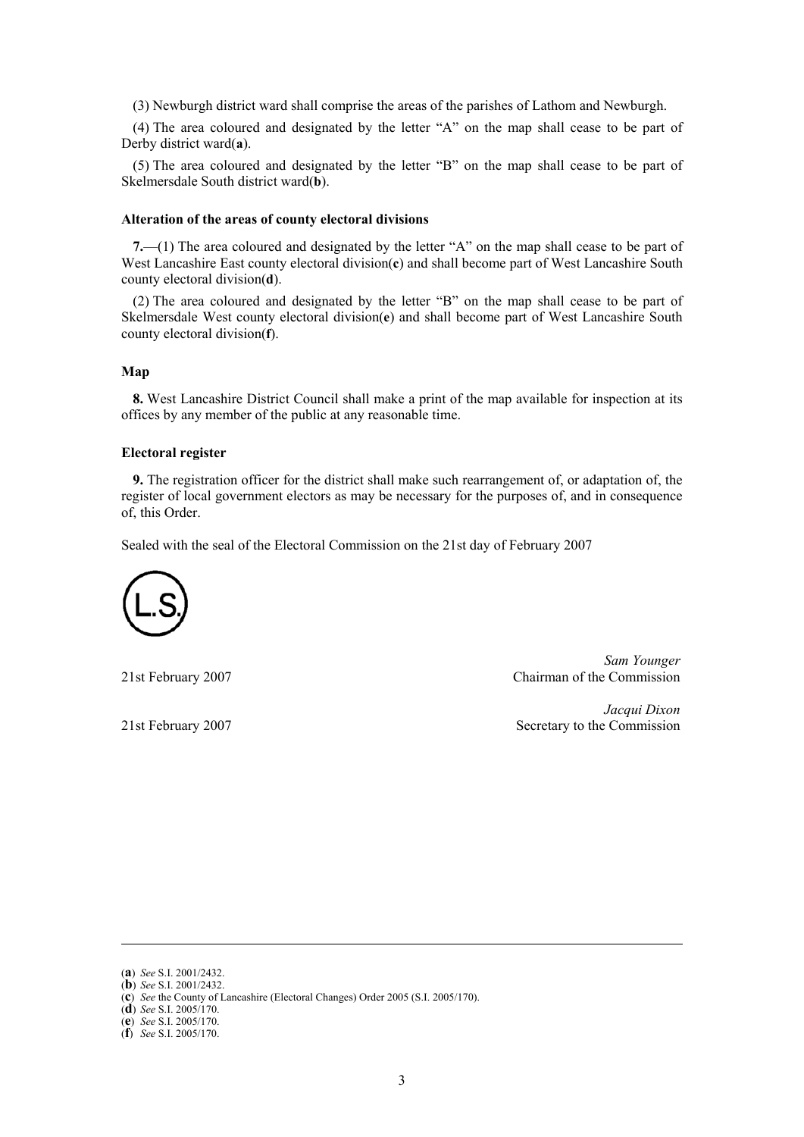(3) Newburgh district ward shall comprise the areas of the parishes of Lathom and Newburgh.

(4) The area coloured and designated by the letter "A" on the map shall cease to be part of Derby district ward(**a**).

(5) The area coloured and designated by the letter "B" on the map shall cease to be part of Skelmersdale South district ward(**b**).

## **Alteration of the areas of county electoral divisions**

**7.**—(1) The area coloured and designated by the letter "A" on the map shall cease to be part of West Lancashire East county electoral division(**c**) and shall become part of West Lancashire South county electoral division(**d**).

(2) The area coloured and designated by the letter "B" on the map shall cease to be part of Skelmersdale West county electoral division(**e**) and shall become part of West Lancashire South county electoral division(**f**).

## **Map**

**8.** West Lancashire District Council shall make a print of the map available for inspection at its offices by any member of the public at any reasonable time.

## **Electoral register**

**9.** The registration officer for the district shall make such rearrangement of, or adaptation of, the register of local government electors as may be necessary for the purposes of, and in consequence of, this Order.

Sealed with the seal of the Electoral Commission on the 21st day of February 2007



*Sam Younger*  21st February 2007 Chairman of the Commission

*Jacqui Dixon*  21st February 2007 Secretary to the Commission

 $\overline{a}$ 

(**d**) *See* S.I. 2005/170.

<sup>(</sup>**a**) *See* S.I. 2001/2432.

<sup>(</sup>**b**) *See* S.I. 2001/2432.

<sup>(</sup>**c**) *See* the County of Lancashire (Electoral Changes) Order 2005 (S.I. 2005/170).

<sup>(</sup>**e**) *See* S.I. 2005/170.

<sup>(</sup>**f**) *See* S.I. 2005/170.